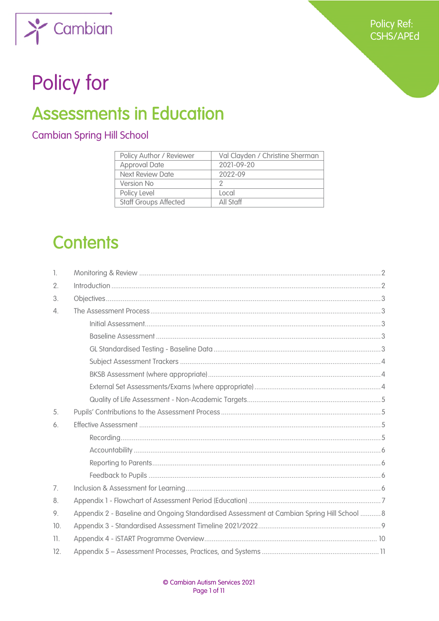

# Policy for

# **Assessments in Education**

# **Cambian Spring Hill School**

| Policy Author / Reviewer     | Val Clayden / Christine Sherman |
|------------------------------|---------------------------------|
| <b>Approval Date</b>         | 2021-09-20                      |
| Next Review Date             | 2022-09                         |
| Version No                   |                                 |
| Policy Level                 | Local                           |
| <b>Staff Groups Affected</b> | All Staff                       |

# **Contents**

| 1.               |                                                                                            |  |
|------------------|--------------------------------------------------------------------------------------------|--|
| 2.               |                                                                                            |  |
| 3.               |                                                                                            |  |
| $\overline{4}$ . |                                                                                            |  |
|                  |                                                                                            |  |
|                  |                                                                                            |  |
|                  |                                                                                            |  |
|                  |                                                                                            |  |
|                  |                                                                                            |  |
|                  |                                                                                            |  |
|                  |                                                                                            |  |
| 5.               |                                                                                            |  |
| 6.               |                                                                                            |  |
|                  |                                                                                            |  |
|                  |                                                                                            |  |
|                  |                                                                                            |  |
|                  |                                                                                            |  |
| 7.               |                                                                                            |  |
| 8.               |                                                                                            |  |
| 9.               | Appendix 2 - Baseline and Ongoing Standardised Assessment at Cambian Spring Hill School  8 |  |
| 10.              |                                                                                            |  |
| 11.              |                                                                                            |  |
| 12.              |                                                                                            |  |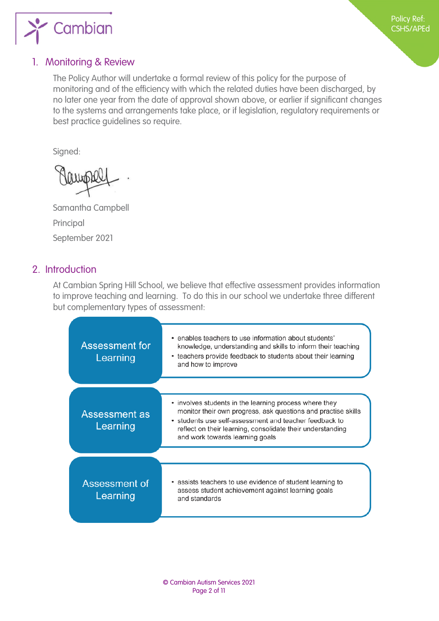<span id="page-1-0"></span>

#### 1. Monitoring & Review

The Policy Author will undertake a formal review of this policy for the purpose of monitoring and of the efficiency with which the related duties have been discharged, by no later one year from the date of approval shown above, or earlier if significant changes to the systems and arrangements take place, or if legislation, regulatory requirements or best practice guidelines so require.

Signed:

Samantha Campbell Principal September 2021

### 2. Introduction

At Cambian Spring Hill School, we believe that effective assessment provides information to improve teaching and learning. To do this in our school we undertake three different but complementary types of assessment:

| Assessment for<br>Learning | • enables teachers to use information about students'<br>knowledge, understanding and skills to inform their teaching<br>• teachers provide feedback to students about their learning<br>and how to improve                                                                        |
|----------------------------|------------------------------------------------------------------------------------------------------------------------------------------------------------------------------------------------------------------------------------------------------------------------------------|
| Assessment as<br>Learning  | • involves students in the learning process where they<br>monitor their own progress, ask questions and practise skills<br>• students use self-assessment and teacher feedback to<br>reflect on their learning, consolidate their understanding<br>and work towards learning goals |
| Assessment of<br>Learning  | • assists teachers to use evidence of student learning to<br>assess student achievement against learning goals<br>and standards                                                                                                                                                    |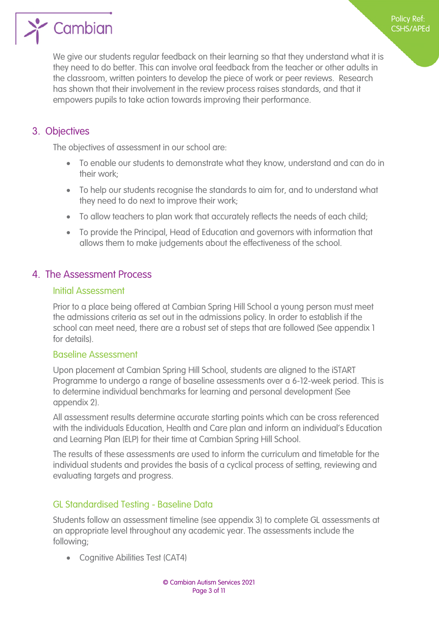<span id="page-2-0"></span>

We give our students regular feedback on their learning so that they understand what it is they need to do better. This can involve oral feedback from the teacher or other adults in the classroom, written pointers to develop the piece of work or peer reviews. Research has shown that their involvement in the review process raises standards, and that it empowers pupils to take action towards improving their performance.

Policy Ref: CSHS/APEd

### 3. Objectives

The objectives of assessment in our school are:

- To enable our students to demonstrate what they know, understand and can do in their work;
- To help our students recognise the standards to aim for, and to understand what they need to do next to improve their work;
- To allow teachers to plan work that accurately reflects the needs of each child;
- To provide the Principal, Head of Education and governors with information that allows them to make judgements about the effectiveness of the school.

#### 4. The Assessment Process

#### Initial Assessment

Prior to a place being offered at Cambian Spring Hill School a young person must meet the admissions criteria as set out in the admissions policy. In order to establish if the school can meet need, there are a robust set of steps that are followed (See appendix 1 for details).

#### Baseline Assessment

Upon placement at Cambian Spring Hill School, students are aligned to the iSTART Programme to undergo a range of baseline assessments over a 6-12-week period. This is to determine individual benchmarks for learning and personal development (See appendix 2).

All assessment results determine accurate starting points which can be cross referenced with the individuals Education, Health and Care plan and inform an individual's Education and Learning Plan (ELP) for their time at Cambian Spring Hill School.

The results of these assessments are used to inform the curriculum and timetable for the individual students and provides the basis of a cyclical process of setting, reviewing and evaluating targets and progress.

#### GL Standardised Testing - Baseline Data

Students follow an assessment timeline (see appendix 3) to complete GL assessments at an appropriate level throughout any academic year. The assessments include the following;

Cognitive Abilities Test (CAT4)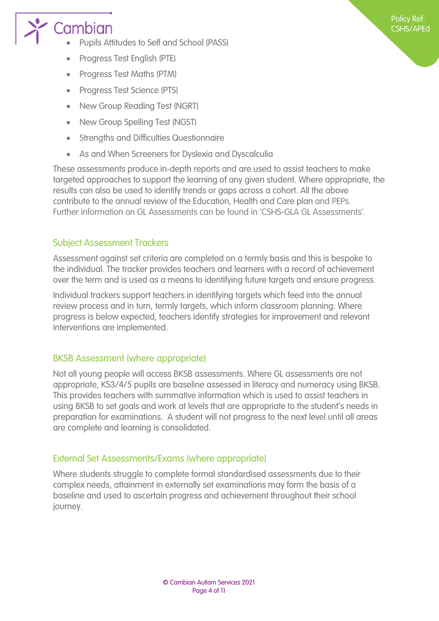# <span id="page-3-0"></span>Cambian

- Pupils Attitudes to Self and School (PASS)
- Progress Test English (PTE)
- Progress Test Maths (PTM)
- Progress Test Science (PTS)
- New Group Reading Test (NGRT)
- New Group Spelling Test (NGST)
- Strengths and Difficulties Questionnaire
- As and When Screeners for Dyslexia and Dyscalculia

These assessments produce in-depth reports and are used to assist teachers to make targeted approaches to support the learning of any given student. Where appropriate, the results can also be used to identify trends or gaps across a cohort. All the above contribute to the annual review of the Education, Health and Care plan and PEPs. Further information on GL Assessments can be found in 'CSHS-GLA GL Assessments'.

Policy Ref: CSHS/APEd

### Subject Assessment Trackers

Assessment against set criteria are completed on a termly basis and this is bespoke to the individual. The tracker provides teachers and learners with a record of achievement over the term and is used as a means to identifying future targets and ensure progress.

Individual trackers support teachers in identifying targets which feed into the annual review process and in turn, termly targets, which inform classroom planning. Where progress is below expected, teachers identify strategies for improvement and relevant interventions are implemented.

#### BKSB Assessment (where appropriate)

Not all young people will access BKSB assessments. Where GL assessments are not appropriate, KS3/4/5 pupils are baseline assessed in literacy and numeracy using BKSB. This provides teachers with summative information which is used to assist teachers in using BKSB to set goals and work at levels that are appropriate to the student's needs in preparation for examinations. A student will not progress to the next level until all areas are complete and learning is consolidated.

#### External Set Assessments/Exams (where appropriate)

Where students struggle to complete formal standardised assessments due to their complex needs, attainment in externally set examinations may form the basis of a baseline and used to ascertain progress and achievement throughout their school journey.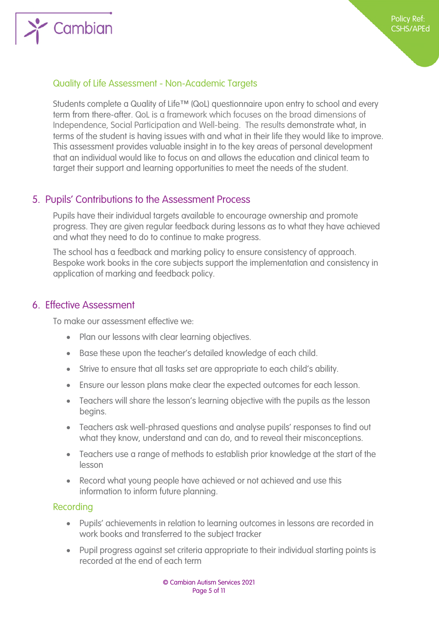<span id="page-4-0"></span>

#### Quality of Life Assessment - Non-Academic Targets

Students complete a Quality of Life™ (QoL) questionnaire upon entry to school and every term from there-after. QoL is a framework which focuses on the broad dimensions of Independence, Social Participation and Well-being. The results demonstrate what, in terms of the student is having issues with and what in their life they would like to improve. This assessment provides valuable insight in to the key areas of personal development that an individual would like to focus on and allows the education and clinical team to target their support and learning opportunities to meet the needs of the student.

#### 5. Pupils' Contributions to the Assessment Process

Pupils have their individual targets available to encourage ownership and promote progress. They are given regular feedback during lessons as to what they have achieved and what they need to do to continue to make progress.

The school has a feedback and marking policy to ensure consistency of approach. Bespoke work books in the core subjects support the implementation and consistency in application of marking and feedback policy.

#### 6. Effective Assessment

To make our assessment effective we:

- Plan our lessons with clear learning objectives.
- Base these upon the teacher's detailed knowledge of each child.
- Strive to ensure that all tasks set are appropriate to each child's ability.
- Ensure our lesson plans make clear the expected outcomes for each lesson.
- Teachers will share the lesson's learning objective with the pupils as the lesson begins.
- Teachers ask well-phrased questions and analyse pupils' responses to find out what they know, understand and can do, and to reveal their misconceptions.
- Teachers use a range of methods to establish prior knowledge at the start of the lesson
- Record what young people have achieved or not achieved and use this information to inform future planning.

#### Recording

- Pupils' achievements in relation to learning outcomes in lessons are recorded in work books and transferred to the subject tracker
- Pupil progress against set criteria appropriate to their individual starting points is recorded at the end of each term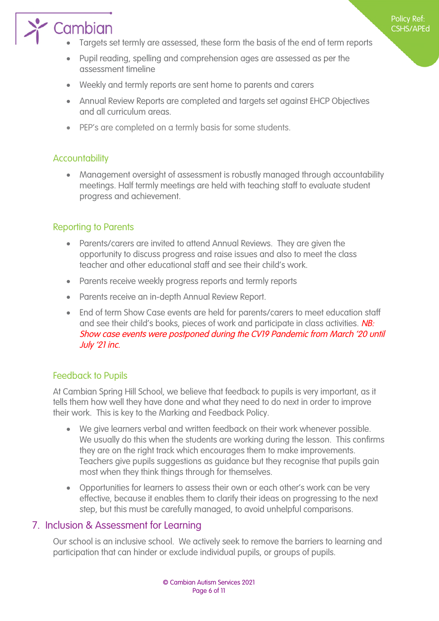# <span id="page-5-0"></span>Cambian

- Targets set termly are assessed, these form the basis of the end of term reports
- Pupil reading, spelling and comprehension ages are assessed as per the assessment timeline
- Weekly and termly reports are sent home to parents and carers
- Annual Review Reports are completed and targets set against EHCP Objectives and all curriculum areas.
- PEP's are completed on a termly basis for some students.

#### **Accountability**

 Management oversight of assessment is robustly managed through accountability meetings. Half termly meetings are held with teaching staff to evaluate student progress and achievement.

#### Reporting to Parents

- Parents/carers are invited to attend Annual Reviews. They are given the opportunity to discuss progress and raise issues and also to meet the class teacher and other educational staff and see their child's work.
- Parents receive weekly progress reports and termly reports
- Parents receive an in-depth Annual Review Report.
- End of term Show Case events are held for parents/carers to meet education staff and see their child's books, pieces of work and participate in class activities. NB: Show case events were postponed during the CV19 Pandemic from March '20 until July '21 inc.

#### Feedback to Pupils

At Cambian Spring Hill School, we believe that feedback to pupils is very important, as it tells them how well they have done and what they need to do next in order to improve their work. This is key to the Marking and Feedback Policy.

- We give learners verbal and written feedback on their work whenever possible. We usually do this when the students are working during the lesson. This confirms they are on the right track which encourages them to make improvements. Teachers give pupils suggestions as guidance but they recognise that pupils gain most when they think things through for themselves.
- Opportunities for learners to assess their own or each other's work can be very effective, because it enables them to clarify their ideas on progressing to the next step, but this must be carefully managed, to avoid unhelpful comparisons.

## 7. Inclusion & Assessment for Learning

Our school is an inclusive school. We actively seek to remove the barriers to learning and participation that can hinder or exclude individual pupils, or groups of pupils.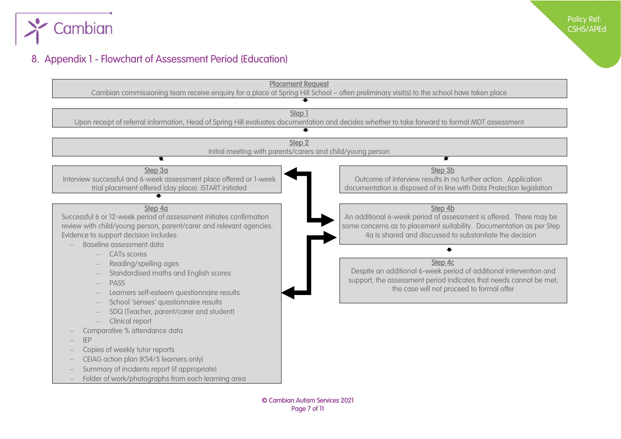<span id="page-6-0"></span>

#### Policy Ref: CSHS/APEd

# 8. Appendix 1 - Flowchart of Assessment Period (Education)

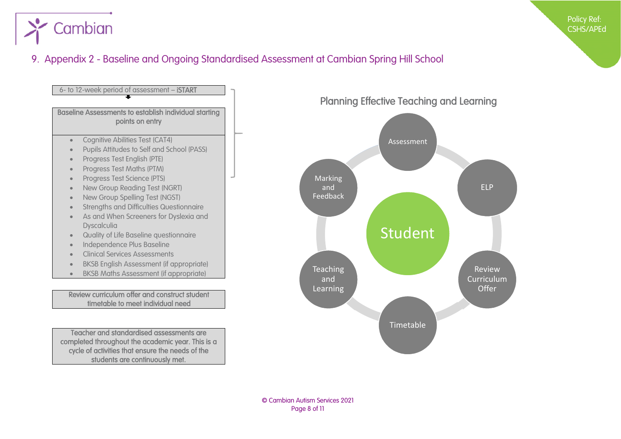<span id="page-7-0"></span>

# 9. Appendix 2 - Baseline and Ongoing Standardised Assessment at Cambian Spring Hill School



Teacher and standardised assessments are completed throughout the academic year. This is a cycle of activities that ensure the needs of the students are continuously met.

Planning Effective Teaching and Learning



Policy Ref: CSHS/APEd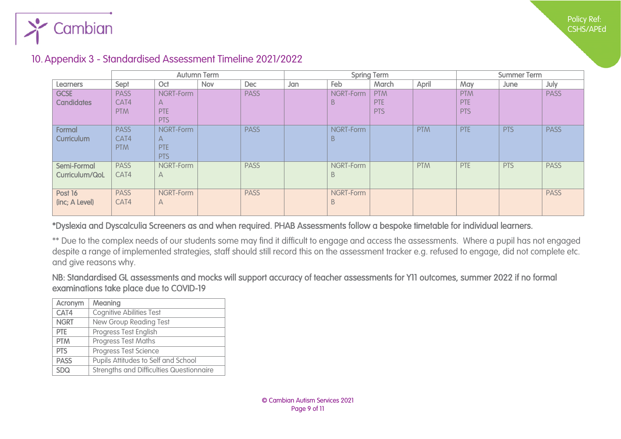<span id="page-8-0"></span>

# 10.Appendix 3 - Standardised Assessment Timeline 2021/2022

|                                  | <b>Autumn Term</b>                |                                     |            | <b>Spring Term</b> |     |                |                                 | <b>Summer Term</b> |                                 |            |             |
|----------------------------------|-----------------------------------|-------------------------------------|------------|--------------------|-----|----------------|---------------------------------|--------------------|---------------------------------|------------|-------------|
| <b>Learners</b>                  | Sept                              | Oct                                 | <b>Nov</b> | <b>Dec</b>         | Jan | Feb            | March                           | April              | May                             | June       | July        |
| <b>GCSE</b><br><b>Candidates</b> | <b>PASS</b><br>CAT4<br><b>PTM</b> | NGRT-Form<br>A<br>PTE<br>PTS        |            | <b>PASS</b>        |     | NGRT-Form<br>B | <b>PTM</b><br>PTE<br><b>PTS</b> |                    | <b>PTM</b><br>PTE<br><b>PTS</b> |            | <b>PASS</b> |
| Formal<br><b>Curriculum</b>      | <b>PASS</b><br>CAT4<br><b>PTM</b> | NGRT-Form<br>A<br>PTE<br><b>PTS</b> |            | <b>PASS</b>        |     | NGRT-Form<br>B |                                 | <b>PTM</b>         | PTE                             | <b>PTS</b> | <b>PASS</b> |
| Semi-Formal<br>Curriculum/QoL    | <b>PASS</b><br>CAT4               | NGRT-Form<br>A                      |            | <b>PASS</b>        |     | NGRT-Form<br>B |                                 | <b>PTM</b>         | PTE                             | PTS        | <b>PASS</b> |
| Post 16<br>(inc; A Level)        | <b>PASS</b><br>CAT4               | NGRT-Form<br>$\mathsf{A}$           |            | <b>PASS</b>        |     | NGRT-Form<br>B |                                 |                    |                                 |            | <b>PASS</b> |

#### \*Dyslexia and Dyscalculia Screeners as and when required. PHAB Assessments follow a bespoke timetable for individual learners.

\*\* Due to the complex needs of our students some may find it difficult to engage and access the assessments. Where a pupil has not engaged despite a range of implemented strategies, staff should still record this on the assessment tracker e.g. refused to engage, did not complete etc. and give reasons why.

#### NB: Standardised GL assessments and mocks will support accuracy of teacher assessments for Y11 outcomes, summer 2022 if no formal examinations take place due to COVID-19

| Acronym     | Meaning                                  |
|-------------|------------------------------------------|
| CAT4        | <b>Cognitive Abilities Test</b>          |
| <b>NGRT</b> | New Group Reading Test                   |
| <b>PTE</b>  | Progress Test English                    |
| <b>PTM</b>  | <b>Progress Test Maths</b>               |
| <b>PTS</b>  | Progress Test Science                    |
| <b>PASS</b> | Pupils Attitudes to Self and School      |
| <b>SDQ</b>  | Strengths and Difficulties Questionnaire |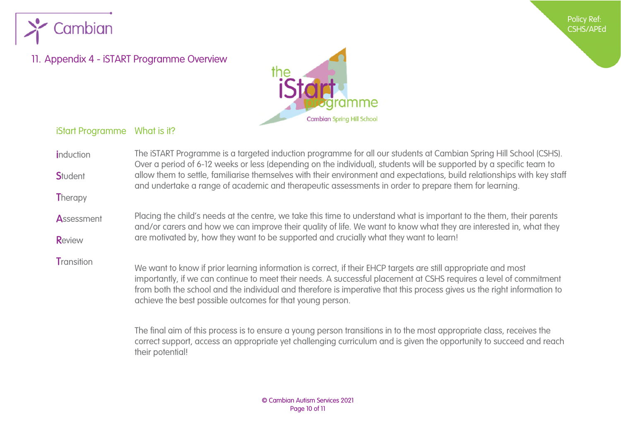<span id="page-9-0"></span>

## 11. Appendix 4 - iSTART Programme Overview



Policy Ref: CSHS/APEd

## iStart Programme What is it?



correct support, access an appropriate yet challenging curriculum and is given the opportunity to succeed and reach their potential!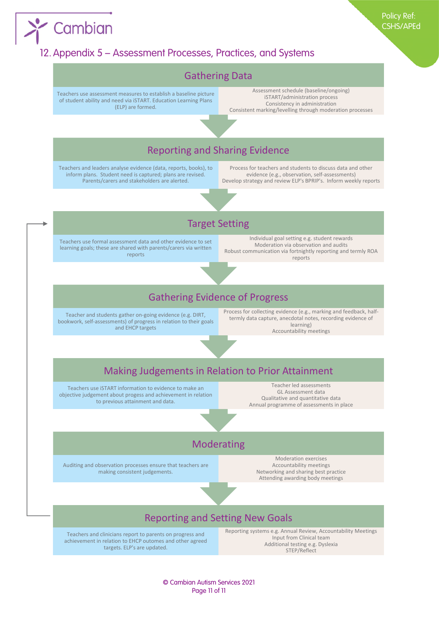<span id="page-10-0"></span>

# 12.Appendix 5 – Assessment Processes, Practices, and Systems

Policy Ref: CSHS/APEd



© Cambian Autism Services 2021 Page 11 of 11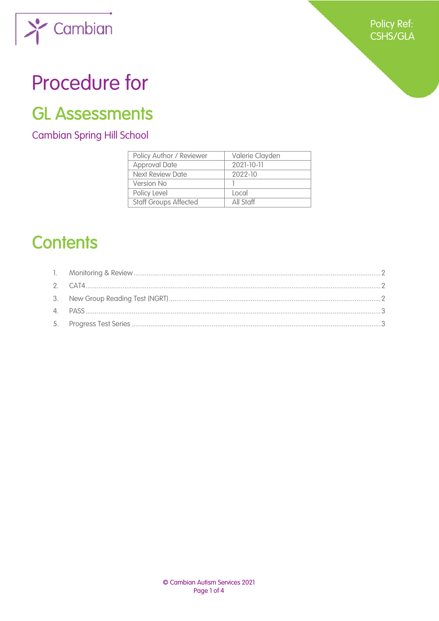

# Procedure for

# GL Assessments

Cambian Spring Hill School

| Policy Author / Reviewer     | Valerie Clayden |
|------------------------------|-----------------|
| <b>Approval Date</b>         | 2021-10-11      |
| Next Review Date             | 2022-10         |
| <b>Version No</b>            |                 |
| Policy Level                 | Local           |
| <b>Staff Groups Affected</b> | All Staff       |

# **Contents**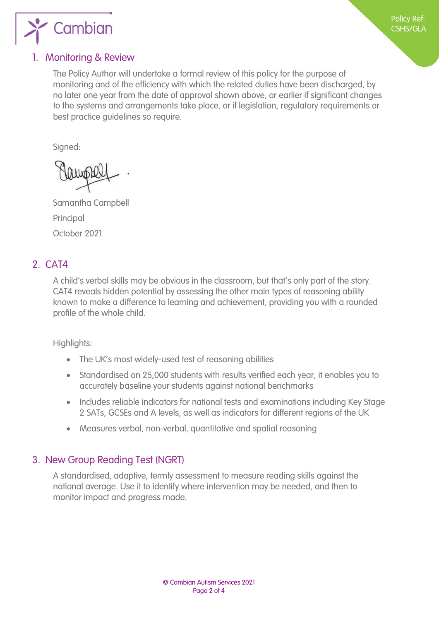<span id="page-12-0"></span>

### 1. Monitoring & Review

The Policy Author will undertake a formal review of this policy for the purpose of monitoring and of the efficiency with which the related duties have been discharged, by no later one year from the date of approval shown above, or earlier if significant changes to the systems and arrangements take place, or if legislation, regulatory requirements or best practice guidelines so require.

Signed:

Samantha Campbell Principal October 2021

## 2. CAT4

A child's verbal skills may be obvious in the classroom, but that's only part of the story. CAT4 reveals hidden potential by assessing the other main types of reasoning ability known to make a difference to learning and achievement, providing you with a rounded profile of the whole child.

Highlights:

- The UK's most widely-used test of reasoning abilities
- Standardised on 25,000 students with results verified each year, it enables you to accurately baseline your students against national benchmarks
- Includes reliable indicators for national tests and examinations including Key Stage 2 SATs, GCSEs and A levels, as well as indicators for different regions of the UK
- Measures verbal, non-verbal, quantitative and spatial reasoning

## 3. New Group Reading Test (NGRT)

A standardised, adaptive, termly assessment to measure reading skills against the national average. Use it to identify where intervention may be needed, and then to monitor impact and progress made.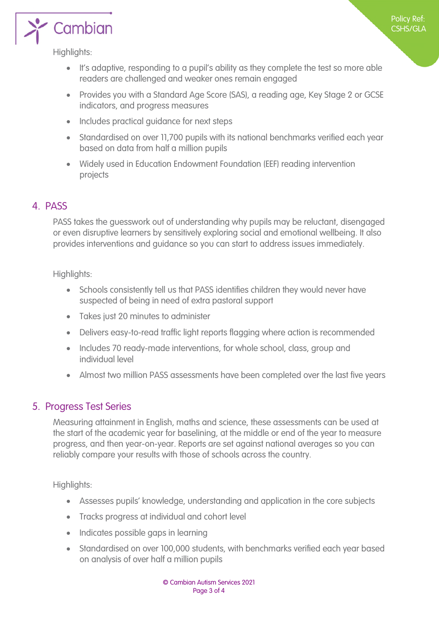Highlights:

<span id="page-13-0"></span>Cambian

- It's adaptive, responding to a pupil's ability as they complete the test so more able readers are challenged and weaker ones remain engaged
- Provides you with a Standard Age Score (SAS), a reading age, Key Stage 2 or GCSE indicators, and progress measures
- Includes practical guidance for next steps
- Standardised on over 11,700 pupils with its national benchmarks verified each year based on data from half a million pupils
- Widely used in Education Endowment Foundation (EEF) reading intervention projects

#### 4. PASS

PASS takes the guesswork out of understanding why pupils may be reluctant, disengaged or even disruptive learners by sensitively exploring social and emotional wellbeing. It also provides interventions and guidance so you can start to address issues immediately.

Highlights:

- Schools consistently tell us that PASS identifies children they would never have suspected of being in need of extra pastoral support
- Takes just 20 minutes to administer
- Delivers easy-to-read traffic light reports flagging where action is recommended
- Includes 70 ready-made interventions, for whole school, class, group and individual level
- Almost two million PASS assessments have been completed over the last five years

#### 5. Progress Test Series

Measuring attainment in English, maths and science, these assessments can be used at the start of the academic year for baselining, at the middle or end of the year to measure progress, and then year-on-year. Reports are set against national averages so you can reliably compare your results with those of schools across the country.

Highlights:

- Assesses pupils' knowledge, understanding and application in the core subjects
- Tracks progress at individual and cohort level
- Indicates possible gaps in learning
- Standardised on over 100,000 students, with benchmarks verified each year based on analysis of over half a million pupils